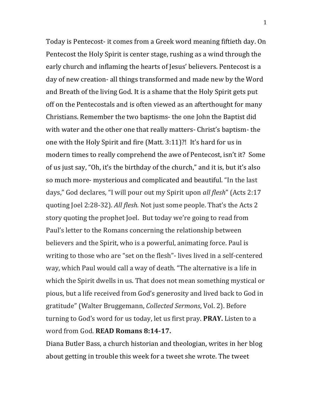Today is Pentecost- it comes from a Greek word meaning fiftieth day. On Pentecost the Holy Spirit is center stage, rushing as a wind through the early church and inflaming the hearts of Jesus' believers. Pentecost is a day of new creation- all things transformed and made new by the Word and Breath of the living God. It is a shame that the Holy Spirit gets put off on the Pentecostals and is often viewed as an afterthought for many Christians. Remember the two baptisms- the one John the Baptist did with water and the other one that really matters- Christ's baptism- the one with the Holy Spirit and fire (Matt. 3:11)?! It's hard for us in modern times to really comprehend the awe of Pentecost, isn't it? Some of us just say, "Oh, it's the birthday of the church," and it is, but it's also so much more- mysterious and complicated and beautiful. "In the last days," God declares, "I will pour out my Spirit upon *all flesh*" (Acts 2:17 quoting Joel 2:28-32). *All flesh.* Not just some people. That's the Acts 2 story quoting the prophet Joel. But today we're going to read from Paul's letter to the Romans concerning the relationship between believers and the Spirit, who is a powerful, animating force. Paul is writing to those who are "set on the flesh"- lives lived in a self-centered way, which Paul would call a way of death. "The alternative is a life in which the Spirit dwells in us. That does not mean something mystical or pious, but a life received from God's generosity and lived back to God in gratitude" (Walter Bruggemann, *Collected Sermons*, Vol. 2). Before turning to God's word for us today, let us first pray. **PRAY.** Listen to a word from God. **READ Romans 8:14-17.** 

Diana Butler Bass, a church historian and theologian, writes in her blog about getting in trouble this week for a tweet she wrote. The tweet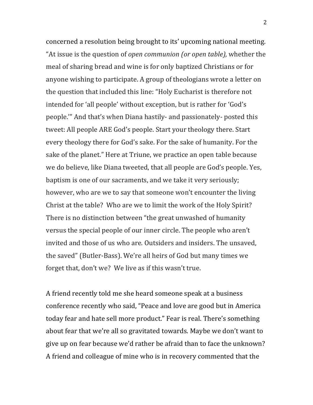concerned a resolution being brought to its' upcoming national meeting. "At issue is the question of *open communion (or open table)*, whether the meal of sharing bread and wine is for only baptized Christians or for anyone wishing to participate. A group of theologians wrote a letter on the question that included this line: "Holy Eucharist is therefore not intended for 'all people' without exception, but is rather for 'God's people." And that's when Diana hastily- and passionately- posted this tweet: All people ARE God's people. Start your theology there. Start every theology there for God's sake. For the sake of humanity. For the sake of the planet." Here at Triune, we practice an open table because we do believe, like Diana tweeted, that all people are God's people. Yes, baptism is one of our sacraments, and we take it very seriously; however, who are we to say that someone won't encounter the living Christ at the table? Who are we to limit the work of the Holy Spirit? There is no distinction between "the great unwashed of humanity versus the special people of our inner circle. The people who aren't invited and those of us who are. Outsiders and insiders. The unsaved, the saved" (Butler-Bass). We're all heirs of God but many times we forget that, don't we? We live as if this wasn't true.

A friend recently told me she heard someone speak at a business conference recently who said, "Peace and love are good but in America today fear and hate sell more product." Fear is real. There's something about fear that we're all so gravitated towards. Maybe we don't want to give up on fear because we'd rather be afraid than to face the unknown? A friend and colleague of mine who is in recovery commented that the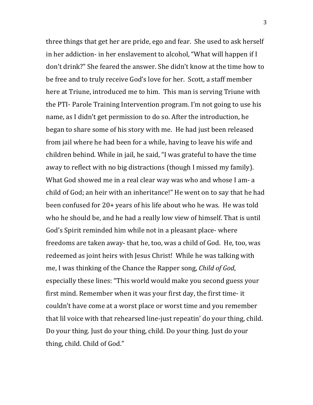three things that get her are pride, ego and fear. She used to ask herself in her addiction- in her enslavement to alcohol, "What will happen if I don't drink?" She feared the answer. She didn't know at the time how to be free and to truly receive God's love for her. Scott, a staff member here at Triune, introduced me to him. This man is serving Triune with the PTI- Parole Training Intervention program. I'm not going to use his name, as I didn't get permission to do so. After the introduction, he began to share some of his story with me. He had just been released from jail where he had been for a while, having to leave his wife and children behind. While in jail, he said, "I was grateful to have the time away to reflect with no big distractions (though I missed my family). What God showed me in a real clear way was who and whose I am- a child of God; an heir with an inheritance!" He went on to say that he had been confused for 20+ years of his life about who he was. He was told who he should be, and he had a really low view of himself. That is until God's Spirit reminded him while not in a pleasant place- where freedoms are taken away- that he, too, was a child of God. He, too, was redeemed as joint heirs with Jesus Christ! While he was talking with me, I was thinking of the Chance the Rapper song, *Child of God*, especially these lines: "This world would make you second guess your first mind. Remember when it was your first day, the first time- it couldn't have come at a worst place or worst time and you remember that lil voice with that rehearsed line-just repeatin' do your thing, child. Do your thing. Just do your thing, child. Do your thing. Just do your thing, child. Child of God."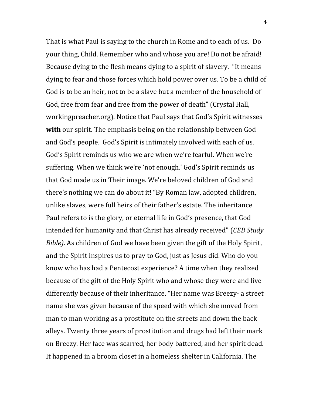That is what Paul is saying to the church in Rome and to each of us. Do your thing, Child. Remember who and whose you are! Do not be afraid! Because dying to the flesh means dying to a spirit of slavery. "It means dying to fear and those forces which hold power over us. To be a child of God is to be an heir, not to be a slave but a member of the household of God, free from fear and free from the power of death" (Crystal Hall, workingpreacher.org). Notice that Paul says that God's Spirit witnesses **with** our spirit. The emphasis being on the relationship between God and God's people. God's Spirit is intimately involved with each of us. God's Spirit reminds us who we are when we're fearful. When we're suffering. When we think we're 'not enough.' God's Spirit reminds us that God made us in Their image. We're beloved children of God and there's nothing we can do about it! "By Roman law, adopted children, unlike slaves, were full heirs of their father's estate. The inheritance Paul refers to is the glory, or eternal life in God's presence, that God intended for humanity and that Christ has already received" (*CEB Study Bible*). As children of God we have been given the gift of the Holy Spirit, and the Spirit inspires us to pray to God, just as Jesus did. Who do you know who has had a Pentecost experience? A time when they realized because of the gift of the Holy Spirit who and whose they were and live differently because of their inheritance. "Her name was Breezy- a street name she was given because of the speed with which she moved from man to man working as a prostitute on the streets and down the back alleys. Twenty three years of prostitution and drugs had left their mark on Breezy. Her face was scarred, her body battered, and her spirit dead. It happened in a broom closet in a homeless shelter in California. The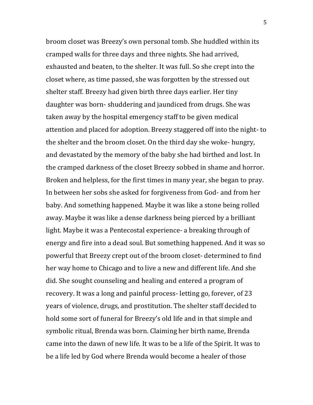broom closet was Breezy's own personal tomb. She huddled within its cramped walls for three days and three nights. She had arrived, exhausted and beaten, to the shelter. It was full. So she crept into the closet where, as time passed, she was forgotten by the stressed out shelter staff. Breezy had given birth three days earlier. Her tiny daughter was born-shuddering and jaundiced from drugs. She was taken away by the hospital emergency staff to be given medical attention and placed for adoption. Breezy staggered off into the night- to the shelter and the broom closet. On the third day she woke- hungry, and devastated by the memory of the baby she had birthed and lost. In the cramped darkness of the closet Breezy sobbed in shame and horror. Broken and helpless, for the first times in many year, she began to pray. In between her sobs she asked for forgiveness from God- and from her baby. And something happened. Maybe it was like a stone being rolled away. Maybe it was like a dense darkness being pierced by a brilliant light. Maybe it was a Pentecostal experience- a breaking through of energy and fire into a dead soul. But something happened. And it was so powerful that Breezy crept out of the broom closet- determined to find her way home to Chicago and to live a new and different life. And she did. She sought counseling and healing and entered a program of recovery. It was a long and painful process- letting go, forever, of 23 years of violence, drugs, and prostitution. The shelter staff decided to hold some sort of funeral for Breezy's old life and in that simple and symbolic ritual, Brenda was born. Claiming her birth name, Brenda came into the dawn of new life. It was to be a life of the Spirit. It was to be a life led by God where Brenda would become a healer of those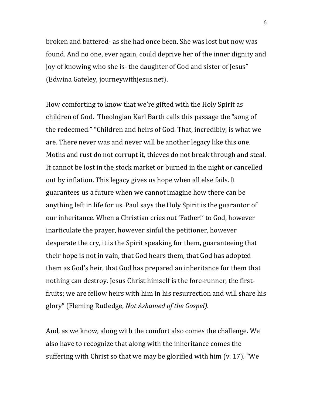broken and battered- as she had once been. She was lost but now was found. And no one, ever again, could deprive her of the inner dignity and joy of knowing who she is- the daughter of God and sister of Jesus" (Edwina Gateley, journeywithjesus.net).

How comforting to know that we're gifted with the Holy Spirit as children of God. Theologian Karl Barth calls this passage the "song of the redeemed." "Children and heirs of God. That, incredibly, is what we are. There never was and never will be another legacy like this one. Moths and rust do not corrupt it, thieves do not break through and steal. It cannot be lost in the stock market or burned in the night or cancelled out by inflation. This legacy gives us hope when all else fails. It guarantees us a future when we cannot imagine how there can be anything left in life for us. Paul says the Holy Spirit is the guarantor of our inheritance. When a Christian cries out 'Father!' to God, however inarticulate the prayer, however sinful the petitioner, however desperate the cry, it is the Spirit speaking for them, guaranteeing that their hope is not in vain, that God hears them, that God has adopted them as God's heir, that God has prepared an inheritance for them that nothing can destroy. Jesus Christ himself is the fore-runner, the firstfruits; we are fellow heirs with him in his resurrection and will share his glory" (Fleming Rutledge, *Not Ashamed of the Gospel).* 

And, as we know, along with the comfort also comes the challenge. We also have to recognize that along with the inheritance comes the suffering with Christ so that we may be glorified with him (v. 17). "We